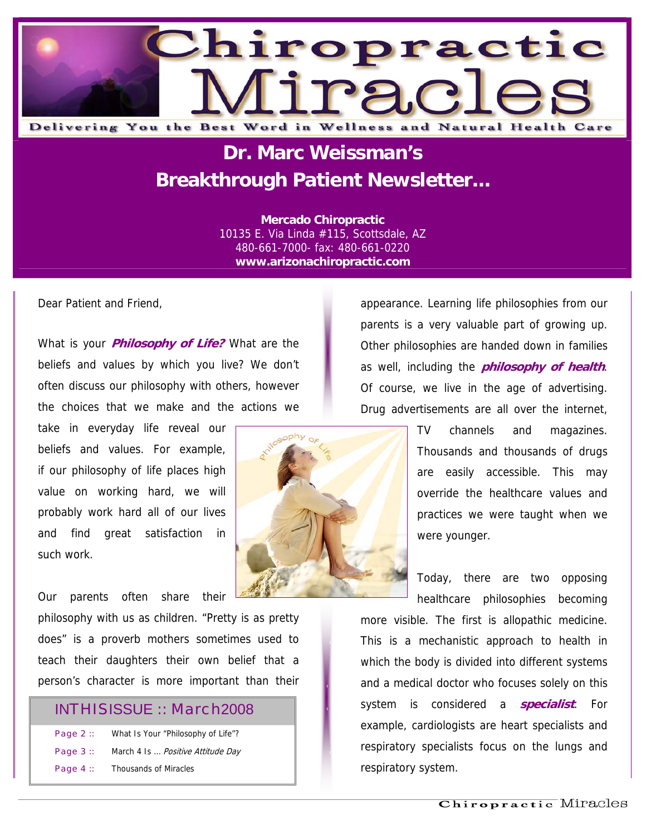

## **Dr. Marc Weissman's Breakthrough Patient Newsletter...**

**Mercado Chiropractic**  10135 E. Via Linda #115, Scottsdale, AZ 480-661-7000- fax: 480-661-0220 **www.arizonachiropractic.com**

Dear Patient and Friend,

What is your **Philosophy of Life?** What are the beliefs and values by which you live? We don't often discuss our philosophy with others, however the choices that we make and the actions we

take in everyday life reveal our beliefs and values. For example, if our philosophy of life places high value on working hard, we will probably work hard all of our lives and find great satisfaction in such work.

Our parents often share their

philosophy with us as children. "Pretty is as pretty does" is a proverb mothers sometimes used to teach their daughters their own belief that a person's character is more important than their

#### INTHISISSUE :: March2008

| Page $2::$ | What Is Your "Philosophy of Life"?      |
|------------|-----------------------------------------|
| Page $3::$ | March 4 Is <i>Positive Attitude Day</i> |
| Page $4::$ | <b>Thousands of Miracles</b>            |

appearance. Learning life philosophies from our parents is a very valuable part of growing up. Other philosophies are handed down in families as well, including the **philosophy of health**. Of course, we live in the age of advertising. Drug advertisements are all over the internet,

> TV channels and magazines. Thousands and thousands of drugs are easily accessible. This may override the healthcare values and practices we were taught when we were younger.

> Today, there are two opposing healthcare philosophies becoming

more visible. The first is allopathic medicine. This is a mechanistic approach to health in which the body is divided into different systems and a medical doctor who focuses solely on this system is considered a **specialist**. For example, cardiologists are heart specialists and respiratory specialists focus on the lungs and respiratory system.

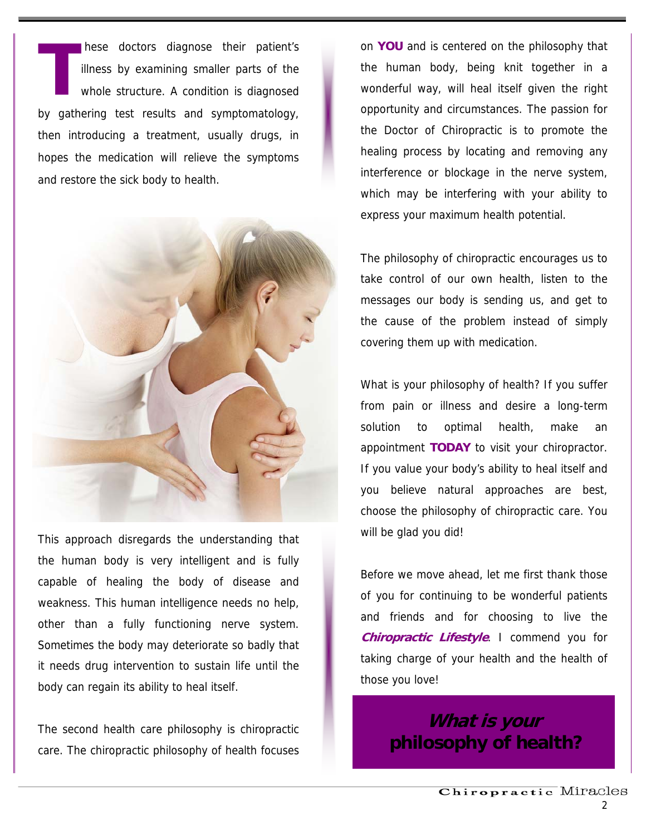hese doctors diagnose their patient's illness by examining smaller parts of the whole structure. A condition is diagnosed by gathering test results and symptomatology, then introducing a treatment, usually drugs, in hopes the medication will relieve the symptoms and restore the sick body to health. **T**



This approach disregards the understanding that the human body is very intelligent and is fully capable of healing the body of disease and weakness. This human intelligence needs no help, other than a fully functioning nerve system. Sometimes the body may deteriorate so badly that it needs drug intervention to sustain life until the body can regain its ability to heal itself.

The second health care philosophy is chiropractic care. The chiropractic philosophy of health focuses on **YOU** and is centered on the philosophy that the human body, being knit together in a wonderful way, will heal itself given the right opportunity and circumstances. The passion for the Doctor of Chiropractic is to promote the healing process by locating and removing any interference or blockage in the nerve system, which may be interfering with your ability to express your maximum health potential.

The philosophy of chiropractic encourages us to take control of our own health, listen to the messages our body is sending us, and get to the cause of the problem instead of simply covering them up with medication.

What is your philosophy of health? If you suffer from pain or illness and desire a long-term solution to optimal health, make an appointment **TODAY** to visit your chiropractor. If you value your body's ability to heal itself and you believe natural approaches are best, choose the philosophy of chiropractic care. You will be glad you did!

Before we move ahead, let me first thank those of you for continuing to be wonderful patients and friends and for choosing to live the **Chiropractic Lifestyle**. I commend you for taking charge of your health and the health of those you love!

> **What is your philosophy of health?**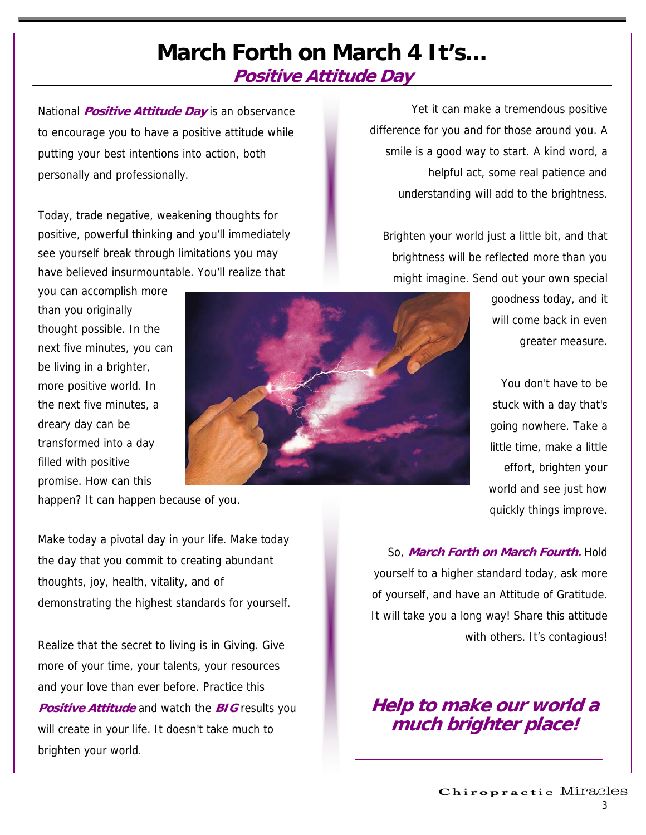### **March Forth on March 4 It's… Positive Attitude Day**

National **Positive Attitude Day** is an observance to encourage you to have a positive attitude while putting your best intentions into action, both personally and professionally.

Today, trade negative, weakening thoughts for positive, powerful thinking and you'll immediately see yourself break through limitations you may have believed insurmountable. You'll realize that

you can accomplish more than you originally thought possible. In the next five minutes, you can be living in a brighter, more positive world. In the next five minutes, a dreary day can be transformed into a day filled with positive promise. How can this



happen? It can happen because of you.

Make today a pivotal day in your life. Make today the day that you commit to creating abundant thoughts, joy, health, vitality, and of demonstrating the highest standards for yourself.

Realize that the secret to living is in Giving. Give more of your time, your talents, your resources and your love than ever before. Practice this **Positive Attitude** and watch the **BIG** results you will create in your life. It doesn't take much to brighten your world.

Yet it can make a tremendous positive difference for you and for those around you. A smile is a good way to start. A kind word, a helpful act, some real patience and understanding will add to the brightness.

Brighten your world just a little bit, and that brightness will be reflected more than you might imagine. Send out your own special

> goodness today, and it will come back in even greater measure.

> You don't have to be stuck with a day that's going nowhere. Take a little time, make a little effort, brighten your world and see just how quickly things improve.

So, **March Forth on March Fourth.** Hold yourself to a higher standard today, ask more of yourself, and have an Attitude of Gratitude. It will take you a long way! Share this attitude with others. It's contagious!

**Help to make our world a much brighter place!**